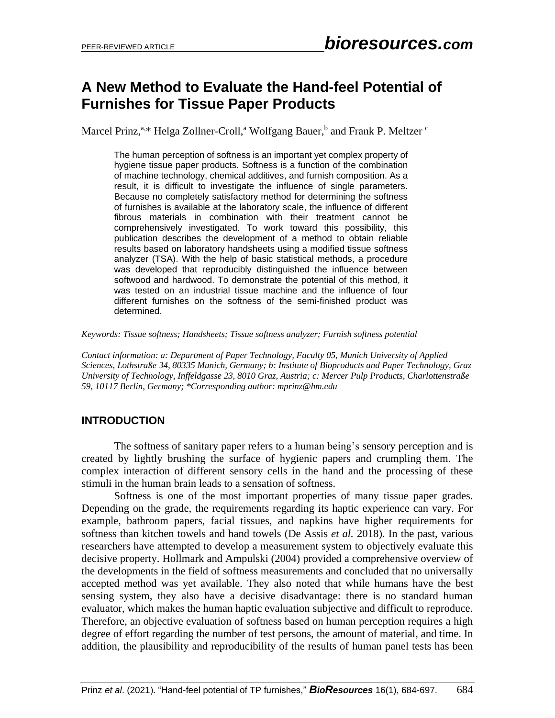# **A New Method to Evaluate the Hand-feel Potential of Furnishes for Tissue Paper Products**

Marcel Prinz,<sup>a,\*</sup> Helga Zollner-Croll,<sup>a</sup> Wolfgang Bauer,<sup>b</sup> and Frank P. Meltzer <sup>c</sup>

The human perception of softness is an important yet complex property of hygiene tissue paper products. Softness is a function of the combination of machine technology, chemical additives, and furnish composition. As a result, it is difficult to investigate the influence of single parameters. Because no completely satisfactory method for determining the softness of furnishes is available at the laboratory scale, the influence of different fibrous materials in combination with their treatment cannot be comprehensively investigated. To work toward this possibility, this publication describes the development of a method to obtain reliable results based on laboratory handsheets using a modified tissue softness analyzer (TSA). With the help of basic statistical methods, a procedure was developed that reproducibly distinguished the influence between softwood and hardwood. To demonstrate the potential of this method, it was tested on an industrial tissue machine and the influence of four different furnishes on the softness of the semi-finished product was determined.

*Keywords: Tissue softness; Handsheets; Tissue softness analyzer; Furnish softness potential*

*Contact information: a: Department of Paper Technology, Faculty 05, Munich University of Applied Sciences, Lothstraße 34, 80335 Munich, Germany; b: Institute of Bioproducts and Paper Technology, Graz University of Technology, Inffeldgasse 23, 8010 Graz, Austria; c: Mercer Pulp Products, Charlottenstraße 59, 10117 Berlin, Germany; \*Corresponding author: mprinz@hm.edu*

# **INTRODUCTION**

The softness of sanitary paper refers to a human being's sensory perception and is created by lightly brushing the surface of hygienic papers and crumpling them. The complex interaction of different sensory cells in the hand and the processing of these stimuli in the human brain leads to a sensation of softness.

Softness is one of the most important properties of many tissue paper grades. Depending on the grade, the requirements regarding its haptic experience can vary. For example, bathroom papers, facial tissues, and napkins have higher requirements for softness than kitchen towels and hand towels (De Assis *et al.* 2018). In the past, various researchers have attempted to develop a measurement system to objectively evaluate this decisive property. Hollmark and Ampulski (2004) provided a comprehensive overview of the developments in the field of softness measurements and concluded that no universally accepted method was yet available. They also noted that while humans have the best sensing system, they also have a decisive disadvantage: there is no standard human evaluator, which makes the human haptic evaluation subjective and difficult to reproduce. Therefore, an objective evaluation of softness based on human perception requires a high degree of effort regarding the number of test persons, the amount of material, and time. In addition, the plausibility and reproducibility of the results of human panel tests has been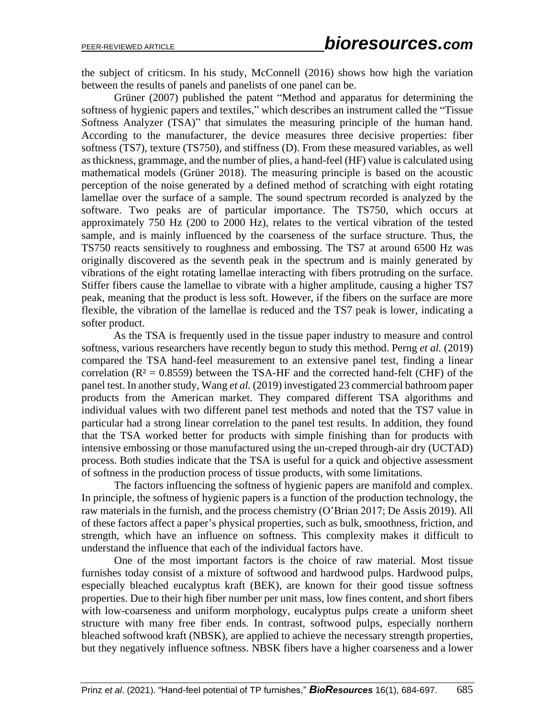the subject of criticsm. In his study, McConnell (2016) shows how high the variation between the results of panels and panelists of one panel can be.

Grüner (2007) published the patent "Method and apparatus for determining the softness of hygienic papers and textiles," which describes an instrument called the "Tissue Softness Analyzer (TSA)" that simulates the measuring principle of the human hand. According to the manufacturer, the device measures three decisive properties: fiber softness (TS7), texture (TS750), and stiffness (D). From these measured variables, as well as thickness, grammage, and the number of plies, a hand-feel (HF) value is calculated using mathematical models (Grüner 2018). The measuring principle is based on the acoustic perception of the noise generated by a defined method of scratching with eight rotating lamellae over the surface of a sample. The sound spectrum recorded is analyzed by the software. Two peaks are of particular importance. The TS750, which occurs at approximately 750 Hz (200 to 2000 Hz), relates to the vertical vibration of the tested sample, and is mainly influenced by the coarseness of the surface structure. Thus, the TS750 reacts sensitively to roughness and embossing. The TS7 at around 6500 Hz was originally discovered as the seventh peak in the spectrum and is mainly generated by vibrations of the eight rotating lamellae interacting with fibers protruding on the surface. Stiffer fibers cause the lamellae to vibrate with a higher amplitude, causing a higher TS7 peak, meaning that the product is less soft. However, if the fibers on the surface are more flexible, the vibration of the lamellae is reduced and the TS7 peak is lower, indicating a softer product.

As the TSA is frequently used in the tissue paper industry to measure and control softness, various researchers have recently begun to study this method. Perng *et al.* (2019) compared the TSA hand-feel measurement to an extensive panel test, finding a linear correlation ( $R<sup>2</sup> = 0.8559$ ) between the TSA-HF and the corrected hand-felt (CHF) of the panel test. In another study, Wang *et al.* (2019) investigated 23 commercial bathroom paper products from the American market. They compared different TSA algorithms and individual values with two different panel test methods and noted that the TS7 value in particular had a strong linear correlation to the panel test results. In addition, they found that the TSA worked better for products with simple finishing than for products with intensive embossing or those manufactured using the un-creped through-air dry (UCTAD) process. Both studies indicate that the TSA is useful for a quick and objective assessment of softness in the production process of tissue products, with some limitations.

The factors influencing the softness of hygienic papers are manifold and complex. In principle, the softness of hygienic papers is a function of the production technology, the raw materials in the furnish, and the process chemistry (O'Brian 2017; De Assis 2019). All of these factors affect a paper's physical properties, such as bulk, smoothness, friction, and strength, which have an influence on softness. This complexity makes it difficult to understand the influence that each of the individual factors have.

One of the most important factors is the choice of raw material. Most tissue furnishes today consist of a mixture of softwood and hardwood pulps. Hardwood pulps, especially bleached eucalyptus kraft (BEK), are known for their good tissue softness properties. Due to their high fiber number per unit mass, low fines content, and short fibers with low-coarseness and uniform morphology, eucalyptus pulps create a uniform sheet structure with many free fiber ends. In contrast, softwood pulps, especially northern bleached softwood kraft (NBSK), are applied to achieve the necessary strength properties, but they negatively influence softness. NBSK fibers have a higher coarseness and a lower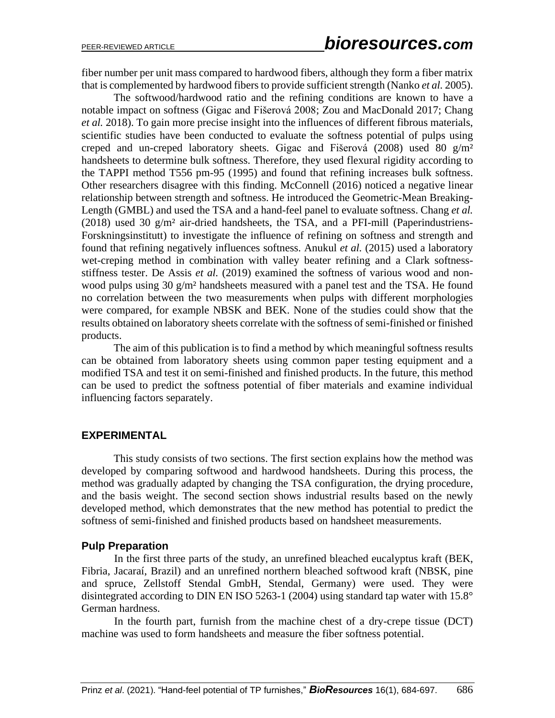fiber number per unit mass compared to hardwood fibers, although they form a fiber matrix that is complemented by hardwood fibers to provide sufficient strength (Nanko *et al.* 2005).

The softwood/hardwood ratio and the refining conditions are known to have a notable impact on softness (Gigac and Fišerová 2008; Zou and MacDonald 2017; Chang *et al.* 2018). To gain more precise insight into the influences of different fibrous materials, scientific studies have been conducted to evaluate the softness potential of pulps using creped and un-creped laboratory sheets. Gigac and Fišerová (2008) used 80  $g/m<sup>2</sup>$ handsheets to determine bulk softness. Therefore, they used flexural rigidity according to the TAPPI method T556 pm-95 (1995) and found that refining increases bulk softness. Other researchers disagree with this finding. McConnell (2016) noticed a negative linear relationship between strength and softness. He introduced the Geometric-Mean Breaking-Length (GMBL) and used the TSA and a hand-feel panel to evaluate softness. Chang *et al.* (2018) used 30 g/m² air-dried handsheets, the TSA, and a PFI-mill (Paperindustriens-Forskningsinstitutt) to investigate the influence of refining on softness and strength and found that refining negatively influences softness. Anukul *et al.* (2015) used a laboratory wet-creping method in combination with valley beater refining and a Clark softnessstiffness tester. De Assis *et al.* (2019) examined the softness of various wood and nonwood pulps using 30 g/m<sup>2</sup> handsheets measured with a panel test and the TSA. He found no correlation between the two measurements when pulps with different morphologies were compared, for example NBSK and BEK. None of the studies could show that the results obtained on laboratory sheets correlate with the softness of semi-finished or finished products.

The aim of this publication is to find a method by which meaningful softness results can be obtained from laboratory sheets using common paper testing equipment and a modified TSA and test it on semi-finished and finished products. In the future, this method can be used to predict the softness potential of fiber materials and examine individual influencing factors separately.

# **EXPERIMENTAL**

This study consists of two sections. The first section explains how the method was developed by comparing softwood and hardwood handsheets. During this process, the method was gradually adapted by changing the TSA configuration, the drying procedure, and the basis weight. The second section shows industrial results based on the newly developed method, which demonstrates that the new method has potential to predict the softness of semi-finished and finished products based on handsheet measurements.

# **Pulp Preparation**

In the first three parts of the study, an unrefined bleached eucalyptus kraft (BEK, Fibria, Jacaraí, Brazil) and an unrefined northern bleached softwood kraft (NBSK, pine and spruce, Zellstoff Stendal GmbH, Stendal, Germany) were used. They were disintegrated according to DIN EN ISO 5263-1 (2004) using standard tap water with 15.8° German hardness.

In the fourth part, furnish from the machine chest of a dry-crepe tissue (DCT) machine was used to form handsheets and measure the fiber softness potential.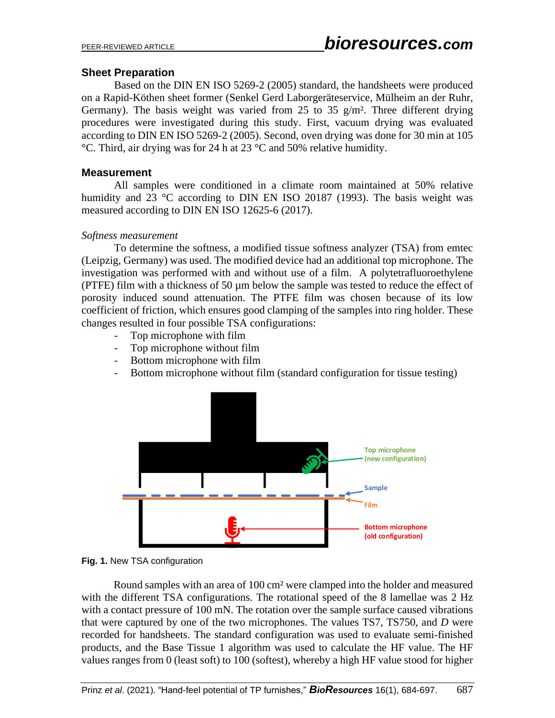#### **Sheet Preparation**

Based on the DIN EN ISO 5269-2 (2005) standard, the handsheets were produced on a Rapid-Köthen sheet former (Senkel Gerd Laborgeräteservice, Mülheim an der Ruhr, Germany). The basis weight was varied from 25 to 35 g/m<sup>2</sup>. Three different drying procedures were investigated during this study. First, vacuum drying was evaluated according to DIN EN ISO 5269-2 (2005). Second, oven drying was done for 30 min at 105 °C. Third, air drying was for 24 h at 23 °C and 50% relative humidity.

#### **Measurement**

All samples were conditioned in a climate room maintained at 50% relative humidity and 23 °C according to DIN EN ISO 20187 (1993). The basis weight was measured according to DIN EN ISO 12625-6 (2017).

#### *Softness measurement*

To determine the softness, a modified tissue softness analyzer (TSA) from emtec (Leipzig, Germany) was used. The modified device had an additional top microphone. The investigation was performed with and without use of a film. A polytetrafluoroethylene (PTFE) film with a thickness of 50 µm below the sample was tested to reduce the effect of porosity induced sound attenuation. The PTFE film was chosen because of its low coefficient of friction, which ensures good clamping of the samples into ring holder. These changes resulted in four possible TSA configurations:

- Top microphone with film
- Top microphone without film
- Bottom microphone with film
- Bottom microphone without film (standard configuration for tissue testing)





Round samples with an area of 100 cm² were clamped into the holder and measured with the different TSA configurations. The rotational speed of the 8 lamellae was 2 Hz with a contact pressure of 100 mN. The rotation over the sample surface caused vibrations that were captured by one of the two microphones. The values TS7, TS750, and *D* were recorded for handsheets. The standard configuration was used to evaluate semi-finished products, and the Base Tissue 1 algorithm was used to calculate the HF value. The HF values ranges from 0 (least soft) to 100 (softest), whereby a high HF value stood for higher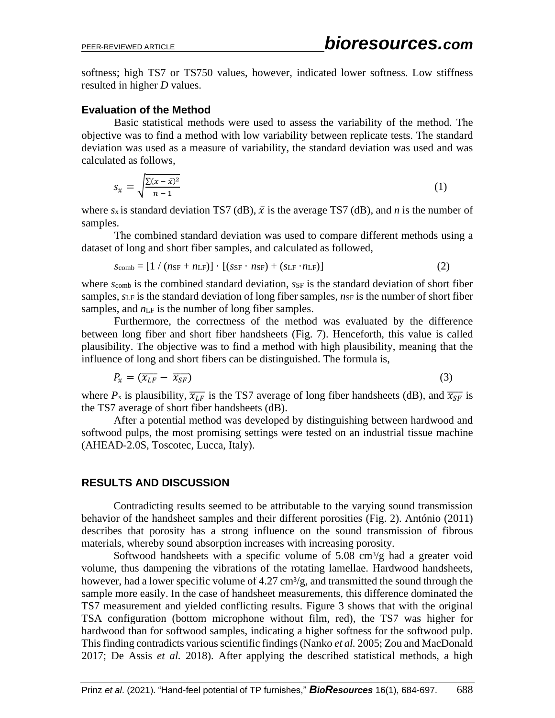softness; high TS7 or TS750 values, however, indicated lower softness. Low stiffness resulted in higher *D* values.

#### **Evaluation of the Method**

Basic statistical methods were used to assess the variability of the method. The objective was to find a method with low variability between replicate tests. The standard deviation was used as a measure of variability, the standard deviation was used and was calculated as follows,

$$
S_{\mathcal{X}} = \sqrt{\frac{\sum (x - \bar{x})^2}{n - 1}}\tag{1}
$$

where  $s_x$  is standard deviation TS7 (dB),  $\bar{x}$  is the average TS7 (dB), and *n* is the number of samples.

The combined standard deviation was used to compare different methods using a dataset of long and short fiber samples, and calculated as followed,

$$
s_{\text{comb}} = [1 / (n_{\text{SF}} + n_{\text{LF}})] \cdot [(s_{\text{SF}} \cdot n_{\text{SF}}) + (s_{\text{LF}} \cdot n_{\text{LF}})] \tag{2}
$$

where *s*<sub>comb</sub> is the combined standard deviation, *ssF* is the standard deviation of short fiber samples,  $s_{LF}$  is the standard deviation of long fiber samples,  $n_{SF}$  is the number of short fiber samples, and  $n_{LF}$  is the number of long fiber samples.

Furthermore, the correctness of the method was evaluated by the difference between long fiber and short fiber handsheets (Fig. 7). Henceforth, this value is called plausibility. The objective was to find a method with high plausibility, meaning that the influence of long and short fibers can be distinguished. The formula is,

$$
P_{\chi} = (\overline{x_{LF}} - \overline{x_{SF}}) \tag{3}
$$

where  $P_x$  is plausibility,  $\overline{x_{LF}}$  is the TS7 average of long fiber handsheets (dB), and  $\overline{x_{SF}}$  is the TS7 average of short fiber handsheets (dB).

After a potential method was developed by distinguishing between hardwood and softwood pulps, the most promising settings were tested on an industrial tissue machine (AHEAD-2.0S, Toscotec, Lucca, Italy).

# **RESULTS AND DISCUSSION**

Contradicting results seemed to be attributable to the varying sound transmission behavior of the handsheet samples and their different porosities (Fig. 2). António (2011) describes that porosity has a strong influence on the sound transmission of fibrous materials, whereby sound absorption increases with increasing porosity.

Softwood handsheets with a specific volume of  $5.08 \text{ cm}^3/\text{g}$  had a greater void volume, thus dampening the vibrations of the rotating lamellae. Hardwood handsheets, however, had a lower specific volume of  $4.27 \text{ cm}^3/\text{g}$ , and transmitted the sound through the sample more easily. In the case of handsheet measurements, this difference dominated the TS7 measurement and yielded conflicting results. Figure 3 shows that with the original TSA configuration (bottom microphone without film, red), the TS7 was higher for hardwood than for softwood samples, indicating a higher softness for the softwood pulp. This finding contradicts various scientific findings (Nanko *et al.* 2005; Zou and MacDonald 2017; De Assis *et al.* 2018). After applying the described statistical methods, a high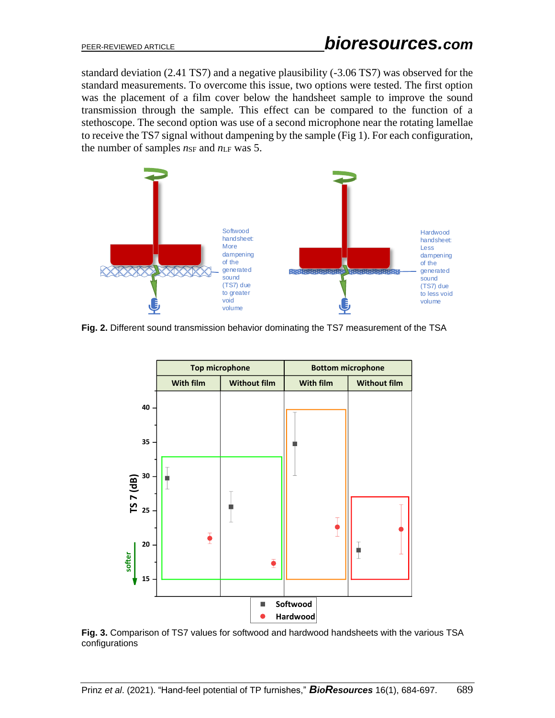standard deviation (2.41 TS7) and a negative plausibility (-3.06 TS7) was observed for the standard measurements. To overcome this issue, two options were tested. The first option was the placement of a film cover below the handsheet sample to improve the sound transmission through the sample. This effect can be compared to the function of a stethoscope. The second option was use of a second microphone near the rotating lamellae to receive the TS7 signal without dampening by the sample (Fig 1). For each configuration, the number of samples  $n_{SF}$  and  $n_{LF}$  was 5.



**Fig. 2.** Different sound transmission behavior dominating the TS7 measurement of the TSA



**Fig. 3.** Comparison of TS7 values for softwood and hardwood handsheets with the various TSA configurations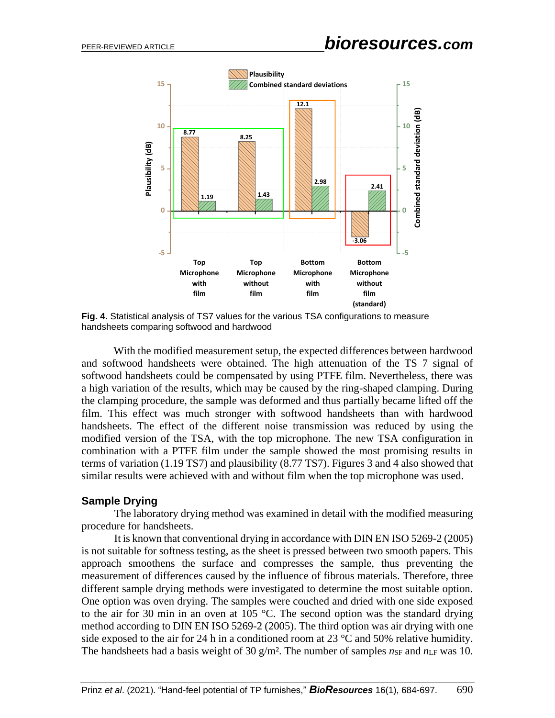

**Fig. 4.** Statistical analysis of TS7 values for the various TSA configurations to measure handsheets comparing softwood and hardwood

With the modified measurement setup, the expected differences between hardwood and softwood handsheets were obtained. The high attenuation of the TS 7 signal of softwood handsheets could be compensated by using PTFE film. Nevertheless, there was a high variation of the results, which may be caused by the ring-shaped clamping. During the clamping procedure, the sample was deformed and thus partially became lifted off the film. This effect was much stronger with softwood handsheets than with hardwood handsheets. The effect of the different noise transmission was reduced by using the modified version of the TSA, with the top microphone. The new TSA configuration in combination with a PTFE film under the sample showed the most promising results in terms of variation (1.19 TS7) and plausibility (8.77 TS7). Figures 3 and 4 also showed that similar results were achieved with and without film when the top microphone was used.

#### **Sample Drying**

The laboratory drying method was examined in detail with the modified measuring procedure for handsheets.

It is known that conventional drying in accordance with DIN EN ISO 5269-2 (2005) is not suitable for softness testing, as the sheet is pressed between two smooth papers. This approach smoothens the surface and compresses the sample, thus preventing the measurement of differences caused by the influence of fibrous materials. Therefore, three different sample drying methods were investigated to determine the most suitable option. One option was oven drying. The samples were couched and dried with one side exposed to the air for 30 min in an oven at 105 °C. The second option was the standard drying method according to DIN EN ISO 5269-2 (2005). The third option was air drying with one side exposed to the air for 24 h in a conditioned room at 23  $\degree$ C and 50% relative humidity. The handsheets had a basis weight of 30  $g/m^2$ . The number of samples  $n_{SF}$  and  $n_{LF}$  was 10.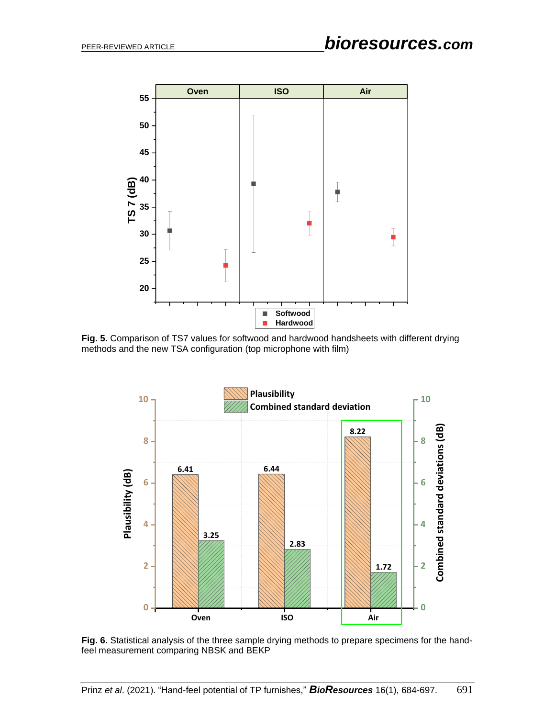

 $\overline{a}$ **Fig. 5.** Comparison of TS7 values for softwood and hardwood handsheets with different drying methods and the new TSA configuration (top microphone with film)



**Fig. 6.** Statistical analysis of the three sample drying methods to prepare specimens for the handfeel measurement comparing NBSK and BEKP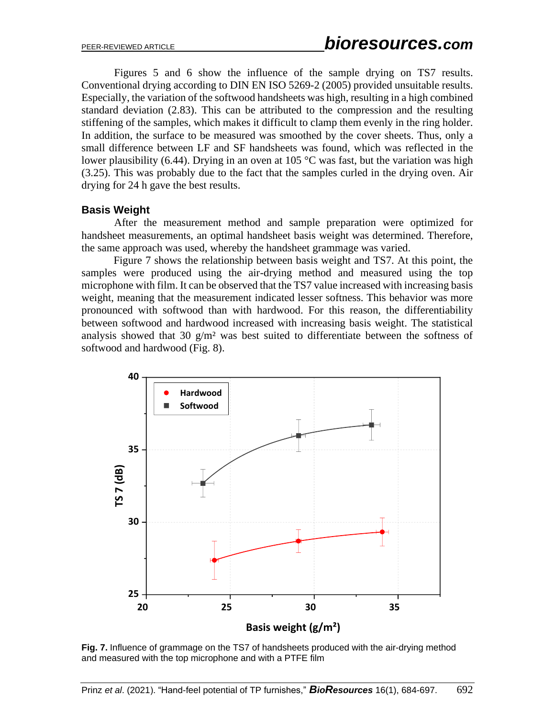Figures 5 and 6 show the influence of the sample drying on TS7 results. Conventional drying according to DIN EN ISO 5269-2 (2005) provided unsuitable results. Especially, the variation of the softwood handsheets was high, resulting in a high combined standard deviation (2.83). This can be attributed to the compression and the resulting stiffening of the samples, which makes it difficult to clamp them evenly in the ring holder. In addition, the surface to be measured was smoothed by the cover sheets. Thus, only a small difference between LF and SF handsheets was found, which was reflected in the lower plausibility (6.44). Drying in an oven at 105  $^{\circ}$ C was fast, but the variation was high (3.25). This was probably due to the fact that the samples curled in the drying oven. Air drying for 24 h gave the best results.

#### **Basis Weight**

After the measurement method and sample preparation were optimized for handsheet measurements, an optimal handsheet basis weight was determined. Therefore, the same approach was used, whereby the handsheet grammage was varied.

Figure 7 shows the relationship between basis weight and TS7. At this point, the samples were produced using the air-drying method and measured using the top microphone with film. It can be observed that the TS7 value increased with increasing basis weight, meaning that the measurement indicated lesser softness. This behavior was more pronounced with softwood than with hardwood. For this reason, the differentiability between softwood and hardwood increased with increasing basis weight. The statistical analysis showed that 30  $g/m^2$  was best suited to differentiate between the softness of softwood and hardwood (Fig. 8).



**Fig. 7.** Influence of grammage on the TS7 of handsheets produced with the air-drying method and measured with the top microphone and with a PTFE film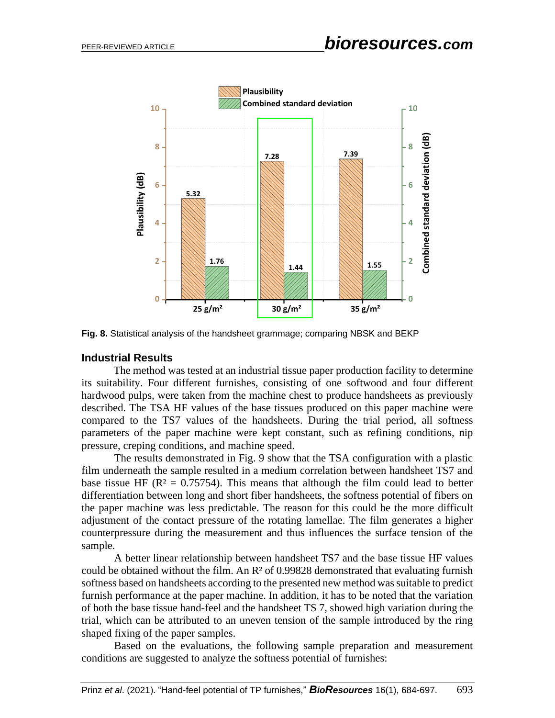

**Fig. 8.** Statistical analysis of the handsheet grammage; comparing NBSK and BEKP

#### **Industrial Results**

The method was tested at an industrial tissue paper production facility to determine its suitability. Four different furnishes, consisting of one softwood and four different hardwood pulps, were taken from the machine chest to produce handsheets as previously described. The TSA HF values of the base tissues produced on this paper machine were compared to the TS7 values of the handsheets. During the trial period, all softness parameters of the paper machine were kept constant, such as refining conditions, nip pressure, creping conditions, and machine speed.

The results demonstrated in Fig. 9 show that the TSA configuration with a plastic film underneath the sample resulted in a medium correlation between handsheet TS7 and base tissue HF ( $\mathbb{R}^2 = 0.75754$ ). This means that although the film could lead to better differentiation between long and short fiber handsheets, the softness potential of fibers on the paper machine was less predictable. The reason for this could be the more difficult adjustment of the contact pressure of the rotating lamellae. The film generates a higher counterpressure during the measurement and thus influences the surface tension of the sample.

A better linear relationship between handsheet TS7 and the base tissue HF values could be obtained without the film. An  $\mathbb{R}^2$  of 0.99828 demonstrated that evaluating furnish softness based on handsheets according to the presented new method was suitable to predict furnish performance at the paper machine. In addition, it has to be noted that the variation of both the base tissue hand-feel and the handsheet TS 7, showed high variation during the trial, which can be attributed to an uneven tension of the sample introduced by the ring shaped fixing of the paper samples.

Based on the evaluations, the following sample preparation and measurement conditions are suggested to analyze the softness potential of furnishes: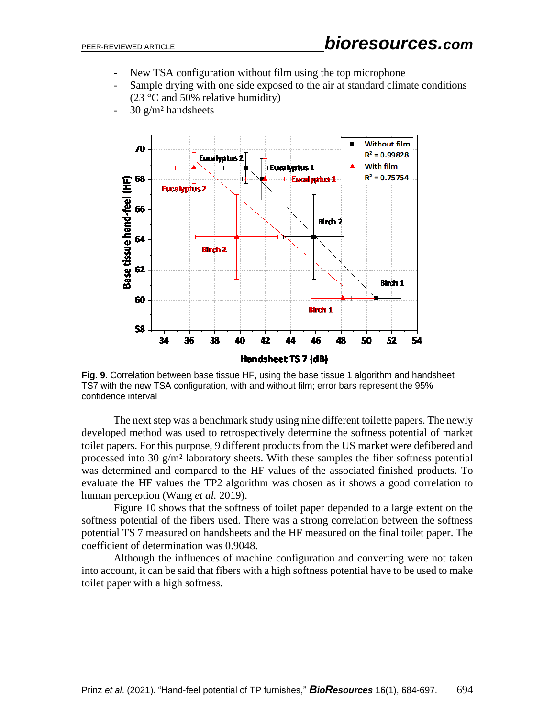- New TSA configuration without film using the top microphone
- Sample drying with one side exposed to the air at standard climate conditions (23 °C and 50% relative humidity)
- 30 g/m² handsheets



**Fig. 9.** Correlation between base tissue HF, using the base tissue 1 algorithm and handsheet TS7 with the new TSA configuration, with and without film; error bars represent the 95% confidence interval

The next step was a benchmark study using nine different toilette papers. The newly developed method was used to retrospectively determine the softness potential of market toilet papers. For this purpose, 9 different products from the US market were defibered and processed into 30 g/m² laboratory sheets. With these samples the fiber softness potential was determined and compared to the HF values of the associated finished products. To evaluate the HF values the TP2 algorithm was chosen as it shows a good correlation to human perception (Wang *et al.* 2019).

Figure 10 shows that the softness of toilet paper depended to a large extent on the softness potential of the fibers used. There was a strong correlation between the softness potential TS 7 measured on handsheets and the HF measured on the final toilet paper. The coefficient of determination was 0.9048.

Although the influences of machine configuration and converting were not taken into account, it can be said that fibers with a high softness potential have to be used to make toilet paper with a high softness.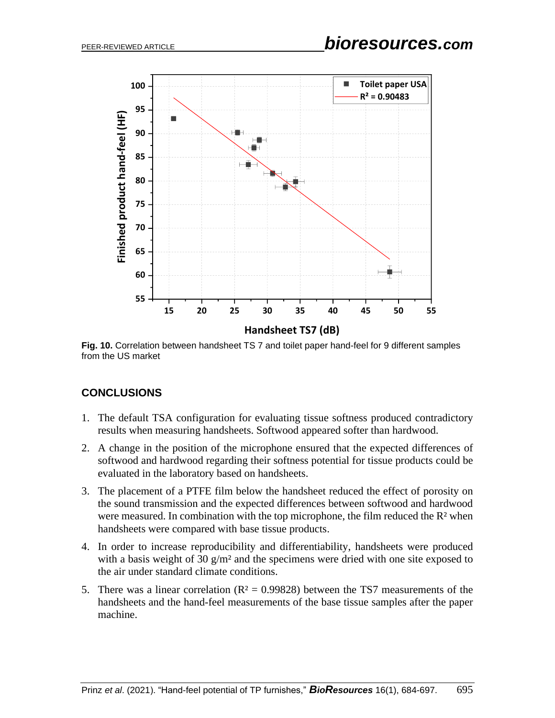

**Fig. 10.** Correlation between handsheet TS 7 and toilet paper hand-feel for 9 different samples from the US market

# **CONCLUSIONS**

- 1. The default TSA configuration for evaluating tissue softness produced contradictory results when measuring handsheets. Softwood appeared softer than hardwood.
- 2. A change in the position of the microphone ensured that the expected differences of softwood and hardwood regarding their softness potential for tissue products could be evaluated in the laboratory based on handsheets.
- 3. The placement of a PTFE film below the handsheet reduced the effect of porosity on the sound transmission and the expected differences between softwood and hardwood were measured. In combination with the top microphone, the film reduced the R<sup>2</sup> when handsheets were compared with base tissue products.
- 4. In order to increase reproducibility and differentiability, handsheets were produced with a basis weight of 30 g/m<sup>2</sup> and the specimens were dried with one site exposed to the air under standard climate conditions.
- 5. There was a linear correlation  $(R^2 = 0.99828)$  between the TS7 measurements of the handsheets and the hand-feel measurements of the base tissue samples after the paper machine.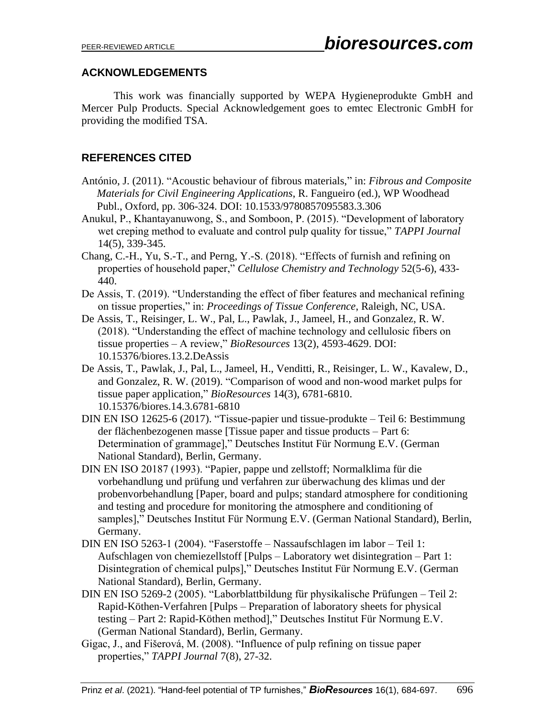# **ACKNOWLEDGEMENTS**

This work was financially supported by WEPA Hygieneprodukte GmbH and Mercer Pulp Products. Special Acknowledgement goes to emtec Electronic GmbH for providing the modified TSA.

# **REFERENCES CITED**

- António, J. (2011). "Acoustic behaviour of fibrous materials," in: *Fibrous and Composite Materials for Civil Engineering Applications*, R. Fangueiro (ed.), WP Woodhead Publ., Oxford, pp. 306-324. DOI: 10.1533/9780857095583.3.306
- Anukul, P., Khantayanuwong, S., and Somboon, P. (2015). "Development of laboratory wet creping method to evaluate and control pulp quality for tissue," *TAPPI Journal* 14(5), 339-345.
- Chang, C.-H., Yu, S.-T., and Perng, Y.-S. (2018). "Effects of furnish and refining on properties of household paper," *Cellulose Chemistry and Technology* 52(5-6), 433- 440.
- De Assis, T. (2019). "Understanding the effect of fiber features and mechanical refining on tissue properties," in: *Proceedings of Tissue Conference*, Raleigh, NC, USA.
- De Assis, T., Reisinger, L. W., Pal, L., Pawlak, J., Jameel, H., and Gonzalez, R. W. (2018). "Understanding the effect of machine technology and cellulosic fibers on tissue properties – A review," *BioResources* 13(2), 4593-4629. DOI: 10.15376/biores.13.2.DeAssis
- De Assis, T., Pawlak, J., Pal, L., Jameel, H., Venditti, R., Reisinger, L. W., Kavalew, D., and Gonzalez, R. W. (2019). "Comparison of wood and non-wood market pulps for tissue paper application," *BioResources* 14(3), 6781-6810. 10.15376/biores.14.3.6781-6810
- DIN EN ISO 12625-6 (2017). "Tissue-papier und tissue-produkte Teil 6: Bestimmung der flächenbezogenen masse [Tissue paper and tissue products – Part 6: Determination of grammage]," Deutsches Institut Für Normung E.V. (German National Standard), Berlin, Germany.
- DIN EN ISO 20187 (1993). "Papier, pappe und zellstoff; Normalklima für die vorbehandlung und prüfung und verfahren zur überwachung des klimas und der probenvorbehandlung [Paper, board and pulps; standard atmosphere for conditioning and testing and procedure for monitoring the atmosphere and conditioning of samples]," Deutsches Institut Für Normung E.V. (German National Standard), Berlin, Germany.
- DIN EN ISO 5263-1 (2004). "Faserstoffe Nassaufschlagen im labor Teil 1: Aufschlagen von chemiezellstoff [Pulps – Laboratory wet disintegration – Part 1: Disintegration of chemical pulps]," Deutsches Institut Für Normung E.V. (German National Standard), Berlin, Germany.
- DIN EN ISO 5269-2 (2005). "Laborblattbildung für physikalische Prüfungen Teil 2: Rapid-Köthen-Verfahren [Pulps – Preparation of laboratory sheets for physical testing – Part 2: Rapid-Köthen method]," Deutsches Institut Für Normung E.V. (German National Standard), Berlin, Germany.
- Gigac, J., and Fišerová, M. (2008). "Influence of pulp refining on tissue paper properties," *TAPPI Journal* 7(8), 27-32.